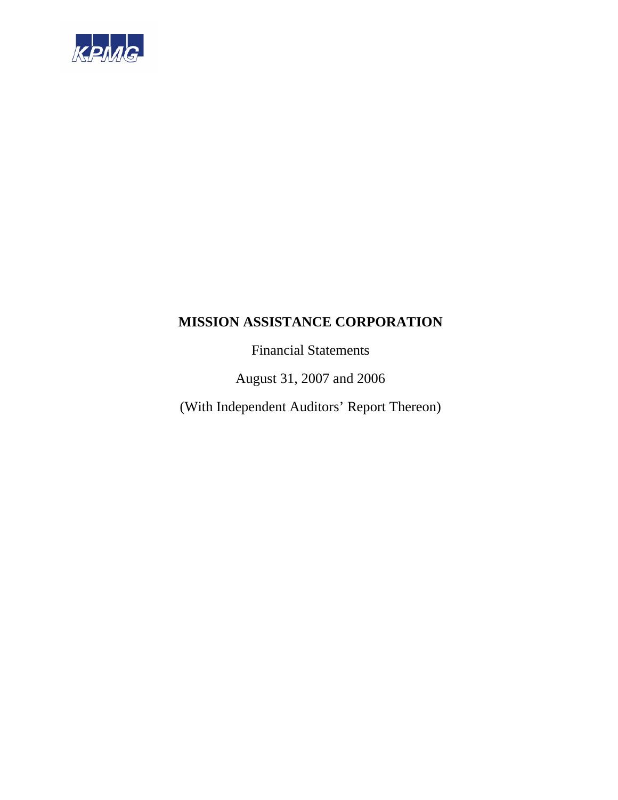

Financial Statements

August 31, 2007 and 2006

(With Independent Auditors' Report Thereon)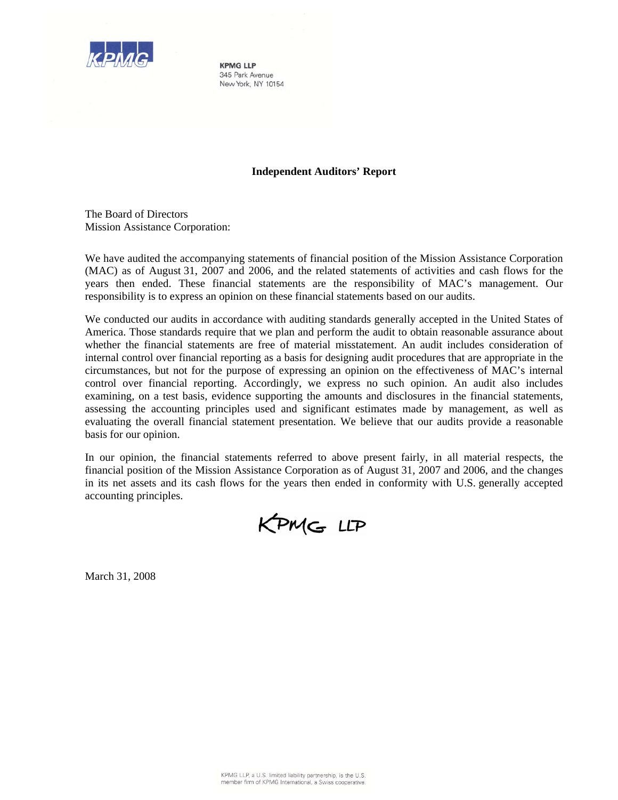

**KPMG LLP** 345 Park Avenue New York, NY 10154

### **Independent Auditors' Report**

The Board of Directors Mission Assistance Corporation:

We have audited the accompanying statements of financial position of the Mission Assistance Corporation (MAC) as of August 31, 2007 and 2006, and the related statements of activities and cash flows for the years then ended. These financial statements are the responsibility of MAC's management. Our responsibility is to express an opinion on these financial statements based on our audits.

We conducted our audits in accordance with auditing standards generally accepted in the United States of America. Those standards require that we plan and perform the audit to obtain reasonable assurance about whether the financial statements are free of material misstatement. An audit includes consideration of internal control over financial reporting as a basis for designing audit procedures that are appropriate in the circumstances, but not for the purpose of expressing an opinion on the effectiveness of MAC's internal control over financial reporting. Accordingly, we express no such opinion. An audit also includes examining, on a test basis, evidence supporting the amounts and disclosures in the financial statements, assessing the accounting principles used and significant estimates made by management, as well as evaluating the overall financial statement presentation. We believe that our audits provide a reasonable basis for our opinion.

In our opinion, the financial statements referred to above present fairly, in all material respects, the financial position of the Mission Assistance Corporation as of August 31, 2007 and 2006, and the changes in its net assets and its cash flows for the years then ended in conformity with U.S. generally accepted accounting principles.



March 31, 2008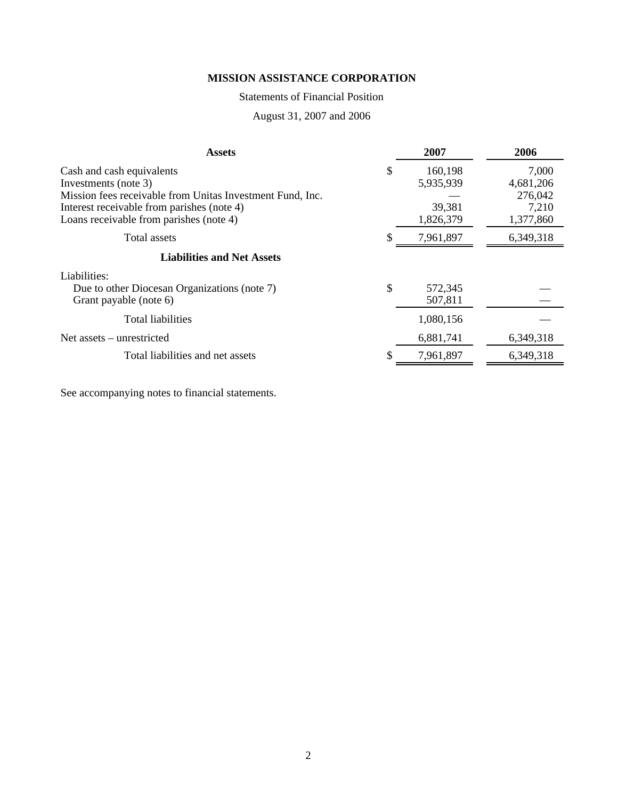# Statements of Financial Position

August 31, 2007 and 2006

| <b>Assets</b>                                             | 2007          | 2006      |
|-----------------------------------------------------------|---------------|-----------|
| Cash and cash equivalents                                 | \$<br>160,198 | 7,000     |
| Investments (note 3)                                      | 5,935,939     | 4,681,206 |
| Mission fees receivable from Unitas Investment Fund, Inc. |               | 276,042   |
| Interest receivable from parishes (note 4)                | 39,381        | 7,210     |
| Loans receivable from parishes (note 4)                   | 1,826,379     | 1,377,860 |
| Total assets                                              | 7,961,897     | 6,349,318 |
| <b>Liabilities and Net Assets</b>                         |               |           |
| Liabilities:                                              |               |           |
| Due to other Diocesan Organizations (note 7)              | \$<br>572,345 |           |
| Grant payable (note 6)                                    | 507,811       |           |
| Total liabilities                                         | 1,080,156     |           |
| Net assets – unrestricted                                 | 6,881,741     | 6,349,318 |
| Total liabilities and net assets                          | 7,961,897     | 6,349,318 |

See accompanying notes to financial statements.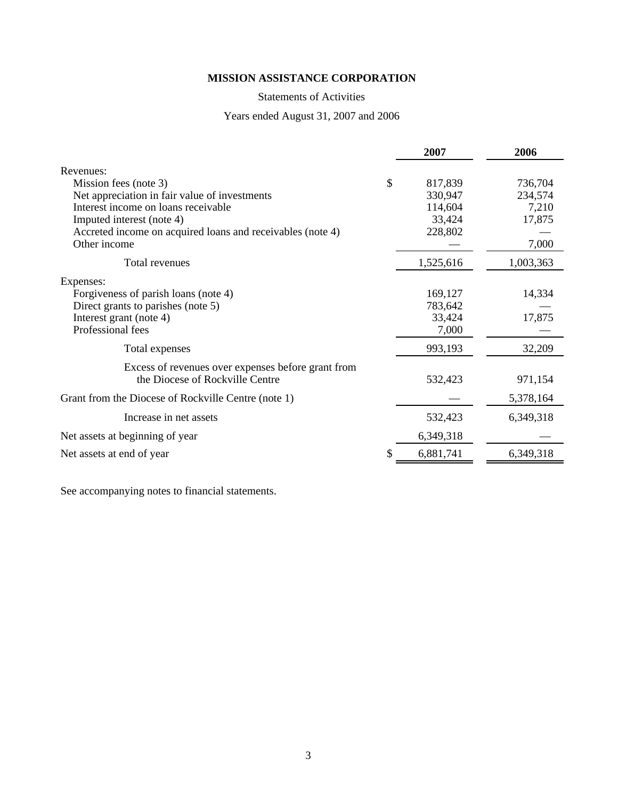# Statements of Activities

# Years ended August 31, 2007 and 2006

|                                                            | 2007          | 2006      |
|------------------------------------------------------------|---------------|-----------|
| Revenues:                                                  |               |           |
| Mission fees (note 3)                                      | \$<br>817,839 | 736,704   |
| Net appreciation in fair value of investments              | 330,947       | 234,574   |
| Interest income on loans receivable                        | 114,604       | 7,210     |
| Imputed interest (note 4)                                  | 33,424        | 17,875    |
| Accreted income on acquired loans and receivables (note 4) | 228,802       |           |
| Other income                                               |               | 7,000     |
| Total revenues                                             | 1,525,616     | 1,003,363 |
| Expenses:                                                  |               |           |
| Forgiveness of parish loans (note 4)                       | 169,127       | 14,334    |
| Direct grants to parishes (note 5)                         | 783,642       |           |
| Interest grant (note 4)                                    | 33,424        | 17,875    |
| Professional fees                                          | 7,000         |           |
| Total expenses                                             | 993,193       | 32,209    |
| Excess of revenues over expenses before grant from         |               |           |
| the Diocese of Rockville Centre                            | 532,423       | 971,154   |
| Grant from the Diocese of Rockville Centre (note 1)        |               | 5,378,164 |
| Increase in net assets                                     | 532,423       | 6,349,318 |
| Net assets at beginning of year                            | 6,349,318     |           |
| Net assets at end of year                                  | 6,881,741     | 6,349,318 |

See accompanying notes to financial statements.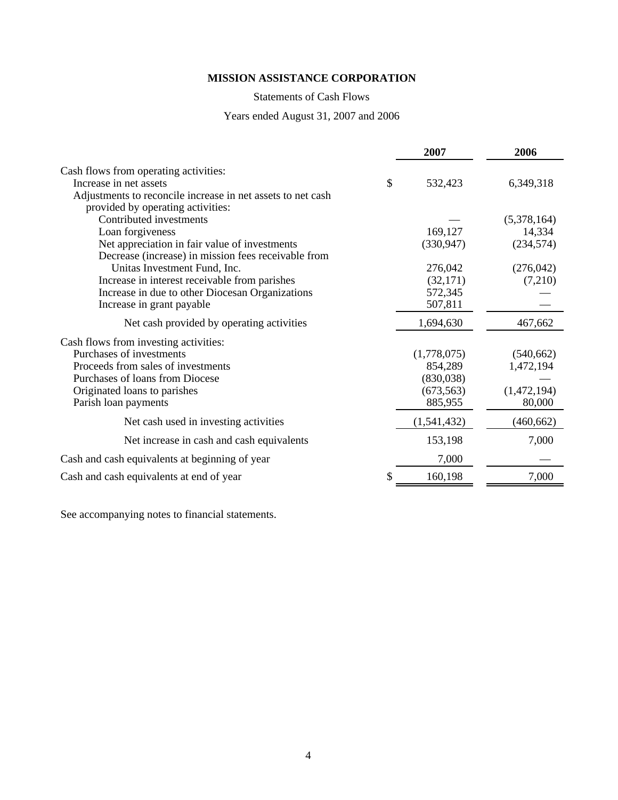# Statements of Cash Flows

# Years ended August 31, 2007 and 2006

|                                                             | 2007          | 2006        |
|-------------------------------------------------------------|---------------|-------------|
| Cash flows from operating activities:                       |               |             |
| Increase in net assets                                      | \$<br>532,423 | 6,349,318   |
| Adjustments to reconcile increase in net assets to net cash |               |             |
| provided by operating activities:                           |               |             |
| Contributed investments                                     |               | (5,378,164) |
| Loan forgiveness                                            | 169,127       | 14,334      |
| Net appreciation in fair value of investments               | (330, 947)    | (234, 574)  |
| Decrease (increase) in mission fees receivable from         |               |             |
| Unitas Investment Fund, Inc.                                | 276,042       | (276, 042)  |
| Increase in interest receivable from parishes               | (32,171)      | (7,210)     |
| Increase in due to other Diocesan Organizations             | 572,345       |             |
| Increase in grant payable                                   | 507,811       |             |
| Net cash provided by operating activities                   | 1,694,630     | 467,662     |
| Cash flows from investing activities:                       |               |             |
| Purchases of investments                                    | (1,778,075)   | (540, 662)  |
| Proceeds from sales of investments                          | 854,289       | 1,472,194   |
| Purchases of loans from Diocese                             | (830,038)     |             |
| Originated loans to parishes                                | (673, 563)    | (1,472,194) |
| Parish loan payments                                        | 885,955       | 80,000      |
| Net cash used in investing activities                       | (1,541,432)   | (460, 662)  |
| Net increase in cash and cash equivalents                   | 153,198       | 7,000       |
| Cash and cash equivalents at beginning of year              | 7,000         |             |
| Cash and cash equivalents at end of year                    | 160,198       | 7,000       |

See accompanying notes to financial statements.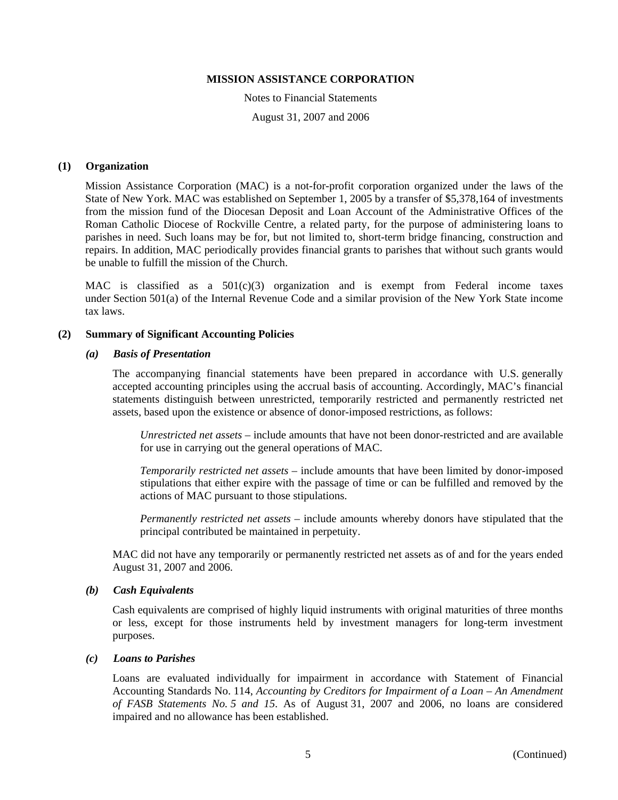Notes to Financial Statements August 31, 2007 and 2006

## **(1) Organization**

Mission Assistance Corporation (MAC) is a not-for-profit corporation organized under the laws of the State of New York. MAC was established on September 1, 2005 by a transfer of \$5,378,164 of investments from the mission fund of the Diocesan Deposit and Loan Account of the Administrative Offices of the Roman Catholic Diocese of Rockville Centre, a related party, for the purpose of administering loans to parishes in need. Such loans may be for, but not limited to, short-term bridge financing, construction and repairs. In addition, MAC periodically provides financial grants to parishes that without such grants would be unable to fulfill the mission of the Church.

MAC is classified as a  $501(c)(3)$  organization and is exempt from Federal income taxes under Section 501(a) of the Internal Revenue Code and a similar provision of the New York State income tax laws.

### **(2) Summary of Significant Accounting Policies**

### *(a) Basis of Presentation*

The accompanying financial statements have been prepared in accordance with U.S. generally accepted accounting principles using the accrual basis of accounting. Accordingly, MAC's financial statements distinguish between unrestricted, temporarily restricted and permanently restricted net assets, based upon the existence or absence of donor-imposed restrictions, as follows:

*Unrestricted net assets* – include amounts that have not been donor-restricted and are available for use in carrying out the general operations of MAC.

*Temporarily restricted net assets* – include amounts that have been limited by donor-imposed stipulations that either expire with the passage of time or can be fulfilled and removed by the actions of MAC pursuant to those stipulations.

*Permanently restricted net assets* – include amounts whereby donors have stipulated that the principal contributed be maintained in perpetuity.

MAC did not have any temporarily or permanently restricted net assets as of and for the years ended August 31, 2007 and 2006.

#### *(b) Cash Equivalents*

Cash equivalents are comprised of highly liquid instruments with original maturities of three months or less, except for those instruments held by investment managers for long-term investment purposes.

#### *(c) Loans to Parishes*

Loans are evaluated individually for impairment in accordance with Statement of Financial Accounting Standards No. 114, *Accounting by Creditors for Impairment of a Loan – An Amendment of FASB Statements No. 5 and 15*. As of August 31, 2007 and 2006, no loans are considered impaired and no allowance has been established.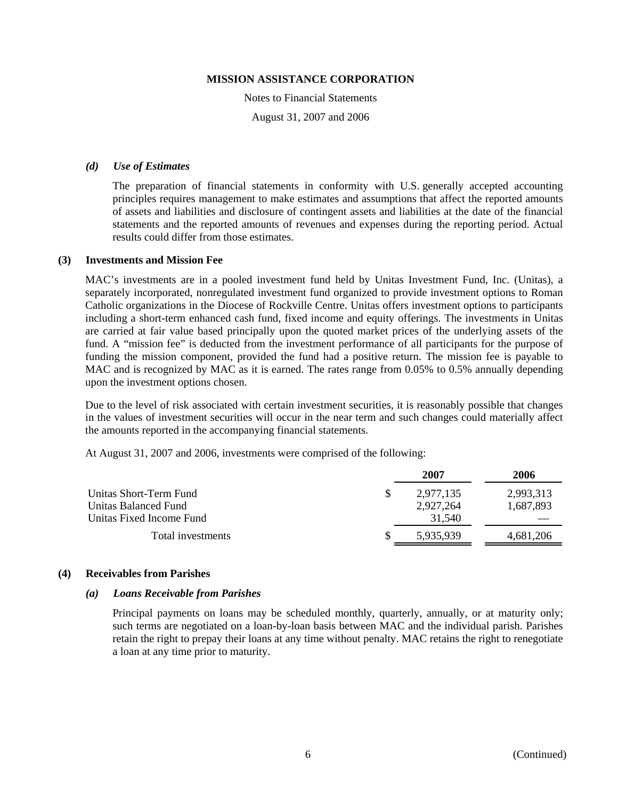Notes to Financial Statements August 31, 2007 and 2006

### *(d) Use of Estimates*

The preparation of financial statements in conformity with U.S. generally accepted accounting principles requires management to make estimates and assumptions that affect the reported amounts of assets and liabilities and disclosure of contingent assets and liabilities at the date of the financial statements and the reported amounts of revenues and expenses during the reporting period. Actual results could differ from those estimates.

#### **(3) Investments and Mission Fee**

MAC's investments are in a pooled investment fund held by Unitas Investment Fund, Inc. (Unitas), a separately incorporated, nonregulated investment fund organized to provide investment options to Roman Catholic organizations in the Diocese of Rockville Centre. Unitas offers investment options to participants including a short-term enhanced cash fund, fixed income and equity offerings. The investments in Unitas are carried at fair value based principally upon the quoted market prices of the underlying assets of the fund. A "mission fee" is deducted from the investment performance of all participants for the purpose of funding the mission component, provided the fund had a positive return. The mission fee is payable to MAC and is recognized by MAC as it is earned. The rates range from 0.05% to 0.5% annually depending upon the investment options chosen.

Due to the level of risk associated with certain investment securities, it is reasonably possible that changes in the values of investment securities will occur in the near term and such changes could materially affect the amounts reported in the accompanying financial statements.

At August 31, 2007 and 2006, investments were comprised of the following:

|                          | 2007      | 2006      |
|--------------------------|-----------|-----------|
| Unitas Short-Term Fund   | 2.977.135 | 2,993,313 |
| Unitas Balanced Fund     | 2,927,264 | 1,687,893 |
| Unitas Fixed Income Fund | 31.540    |           |
| Total investments        | 5.935.939 | 4,681,206 |

#### **(4) Receivables from Parishes**

#### *(a) Loans Receivable from Parishes*

Principal payments on loans may be scheduled monthly, quarterly, annually, or at maturity only; such terms are negotiated on a loan-by-loan basis between MAC and the individual parish. Parishes retain the right to prepay their loans at any time without penalty. MAC retains the right to renegotiate a loan at any time prior to maturity.